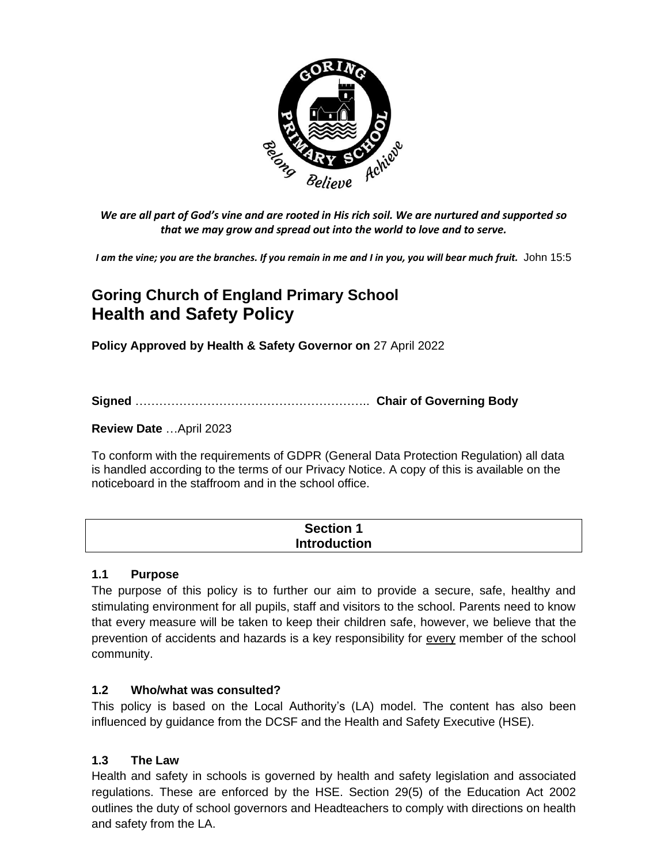

*We are all part of God's vine and are rooted in His rich soil. We are nurtured and supported so that we may grow and spread out into the world to love and to serve.*

*I am the vine; you are the branches. If you remain in me and I in you, you will bear much fruit.* John 15:5

# **Goring Church of England Primary School Health and Safety Policy**

**Policy Approved by Health & Safety Governor on** 27 April 2022

**Signed** ………………………………………………….. **Chair of Governing Body**

**Review Date** …April 2023

To conform with the requirements of GDPR (General Data Protection Regulation) all data is handled according to the terms of our Privacy Notice. A copy of this is available on the noticeboard in the staffroom and in the school office.

| <b>Section 1</b>    |  |
|---------------------|--|
| <b>Introduction</b> |  |

#### **1.1 Purpose**

The purpose of this policy is to further our aim to provide a secure, safe, healthy and stimulating environment for all pupils, staff and visitors to the school. Parents need to know that every measure will be taken to keep their children safe, however, we believe that the prevention of accidents and hazards is a key responsibility for every member of the school community.

## **1.2 Who/what was consulted?**

This policy is based on the Local Authority's (LA) model. The content has also been influenced by guidance from the DCSF and the Health and Safety Executive (HSE).

## **1.3 The Law**

Health and safety in schools is governed by health and safety legislation and associated regulations. These are enforced by the HSE. Section 29(5) of the Education Act 2002 outlines the duty of school governors and Headteachers to comply with directions on health and safety from the LA.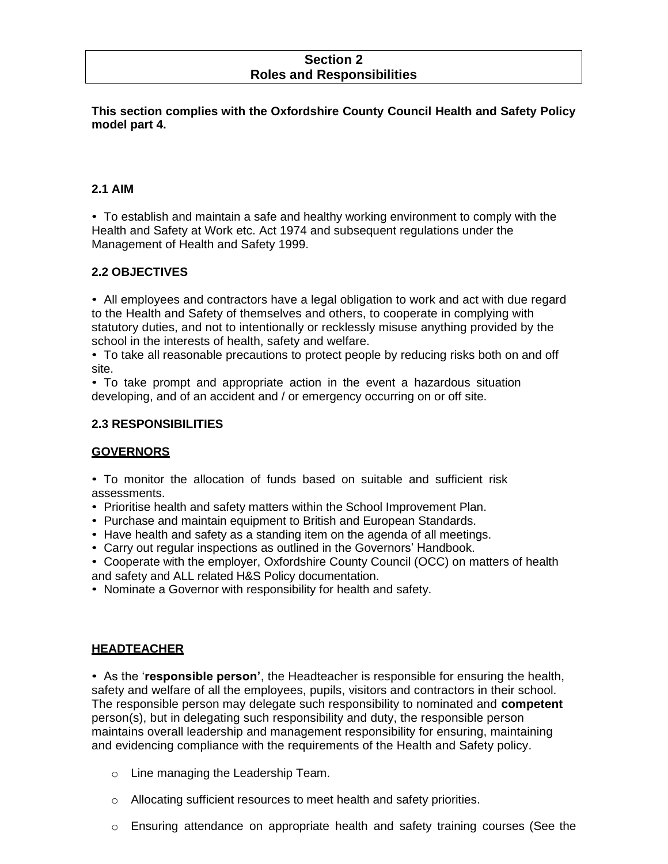#### **Section 2 Roles and Responsibilities**

**This section complies with the Oxfordshire County Council Health and Safety Policy model part 4.**

#### **2.1 AIM**

• To establish and maintain a safe and healthy working environment to comply with the Health and Safety at Work etc. Act 1974 and subsequent regulations under the Management of Health and Safety 1999.

## **2.2 OBJECTIVES**

• All employees and contractors have a legal obligation to work and act with due regard to the Health and Safety of themselves and others, to cooperate in complying with statutory duties, and not to intentionally or recklessly misuse anything provided by the school in the interests of health, safety and welfare.

• To take all reasonable precautions to protect people by reducing risks both on and off site.

• To take prompt and appropriate action in the event a hazardous situation developing, and of an accident and / or emergency occurring on or off site.

#### **2.3 RESPONSIBILITIES**

#### **GOVERNORS**

• To monitor the allocation of funds based on suitable and sufficient risk assessments.

• Prioritise health and safety matters within the School Improvement Plan.

- Purchase and maintain equipment to British and European Standards.
- Have health and safety as a standing item on the agenda of all meetings.
- Carry out regular inspections as outlined in the Governors' Handbook.

• Cooperate with the employer, Oxfordshire County Council (OCC) on matters of health and safety and ALL related H&S Policy documentation.

• Nominate a Governor with responsibility for health and safety.

#### **HEADTEACHER**

• As the '**responsible person'**, the Headteacher is responsible for ensuring the health, safety and welfare of all the employees, pupils, visitors and contractors in their school. The responsible person may delegate such responsibility to nominated and **competent** person(s), but in delegating such responsibility and duty, the responsible person maintains overall leadership and management responsibility for ensuring, maintaining and evidencing compliance with the requirements of the Health and Safety policy.

- o Line managing the Leadership Team.
- o Allocating sufficient resources to meet health and safety priorities.
- o Ensuring attendance on appropriate health and safety training courses (See the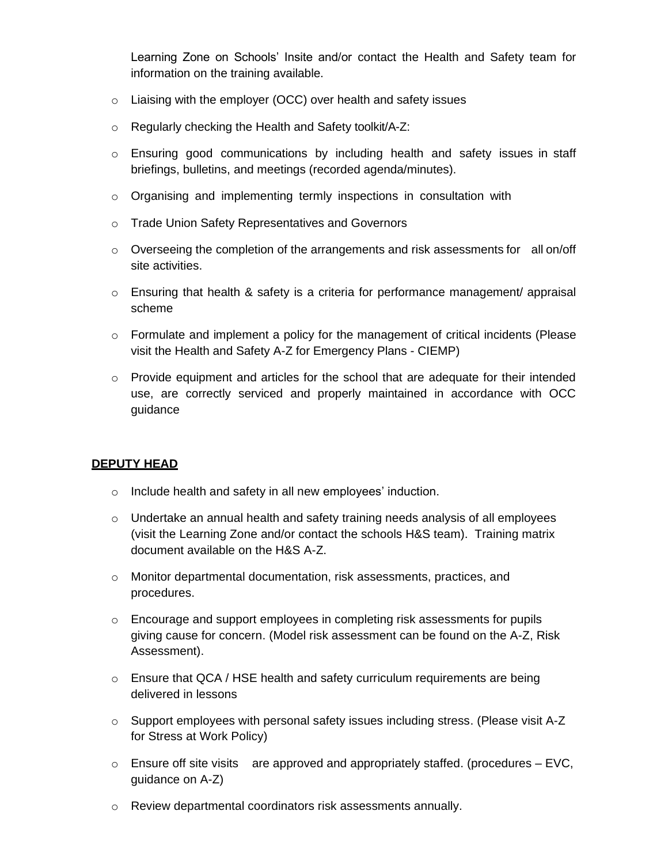Learning Zone on Schools' Insite and/or contact the Health and Safety team for information on the training available.

- o Liaising with the employer (OCC) over health and safety issues
- o Regularly checking the Health and Safety toolkit/A-Z:
- $\circ$  Ensuring good communications by including health and safety issues in staff briefings, bulletins, and meetings (recorded agenda/minutes).
- o Organising and implementing termly inspections in consultation with
- o Trade Union Safety Representatives and Governors
- $\circ$  Overseeing the completion of the arrangements and risk assessments for all on/off site activities.
- $\circ$  Ensuring that health & safety is a criteria for performance management/ appraisal scheme
- o Formulate and implement a policy for the management of critical incidents (Please visit the Health and Safety A-Z for Emergency Plans - CIEMP)
- o Provide equipment and articles for the school that are adequate for their intended use, are correctly serviced and properly maintained in accordance with OCC guidance

#### **DEPUTY HEAD**

- o Include health and safety in all new employees' induction.
- $\circ$  Undertake an annual health and safety training needs analysis of all employees (visit the Learning Zone and/or contact the schools H&S team). Training matrix document available on the H&S A-Z.
- o Monitor departmental documentation, risk assessments, practices, and procedures.
- $\circ$  Encourage and support employees in completing risk assessments for pupils giving cause for concern. (Model risk assessment can be found on the A-Z, Risk Assessment).
- o Ensure that QCA / HSE health and safety curriculum requirements are being delivered in lessons
- $\circ$  Support employees with personal safety issues including stress. [\(Please v](http://portal.oxfordshire.gov.uk/content/public/LandC/Resources/healthsafe/s/strpre.pdf)isit A-Z) for Stress at Work Policy)
- $\circ$  Ensure off site visits are approved and appropriately staffed. (procedures EVC, guidance on A-Z)
- o Review departmental coordinators risk assessments annually.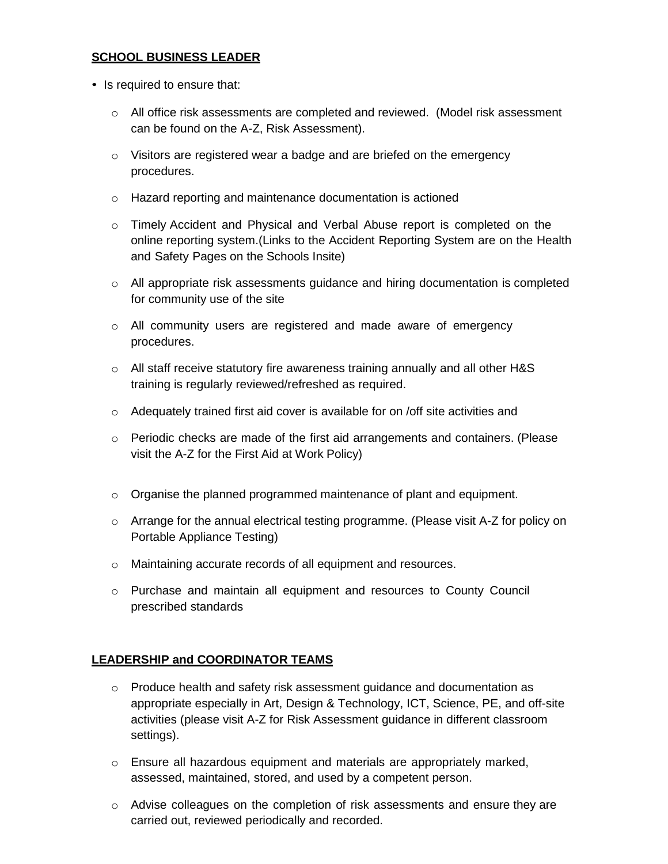#### **SCHOOL BUSINESS LEADER**

- Is required to ensure that:
	- o All office risk assessments are completed and reviewed. (Model risk assessment can be found on the A-Z, Risk Assessment).
	- o Visitors are registered wear a badge and are briefed on the emergency procedures.
	- o Hazard reporting and maintenance documentation is actioned
	- o Timely Accident and Physical and Verbal Abuse report is completed on the online reporting system.(Links to the Accident Reporting System are on the Health and Safety Pages on the Schools Insite)
	- $\circ$  All appropriate risk assessments guidance and hiring documentation is completed for community use of the site
	- $\circ$  All community users are registered and made aware of emergency procedures.
	- $\circ$  All staff receive statutory fire awareness training annually and all other H&S training is regularly reviewed/refreshed as required.
	- $\circ$  Adequately trained first aid cover is available for on /off site activities and
	- o Periodic checks are made of the first aid arrangements and containers. (Please visit the A-Z for the First Aid at Work Policy)
	- $\circ$  Organise the planned programmed maintenance of plant and equipment.
	- o Arrange for the annual electrical testing programme. (Please visit A-Z for policy on Portable Appliance Testing)
	- o Maintaining accurate records of all equipment and resources.
	- $\circ$  Purchase and maintain all equipment and resources to County Council prescribed standards

#### **LEADERSHIP and COORDINATOR TEAMS**

- $\circ$  Produce health and safety risk assessment guidance and documentation as appropriate especially in Art, Design & Technology, ICT, Science, PE, and off-site activities (please visit A-Z for Risk Assessment guidance in different classroom settings).
- o Ensure all hazardous equipment and materials are appropriately marked, assessed, maintained, stored, and used by a competent person.
- $\circ$  Advise colleagues on the completion of risk assessments and ensure they are carried out, reviewed periodically and recorded.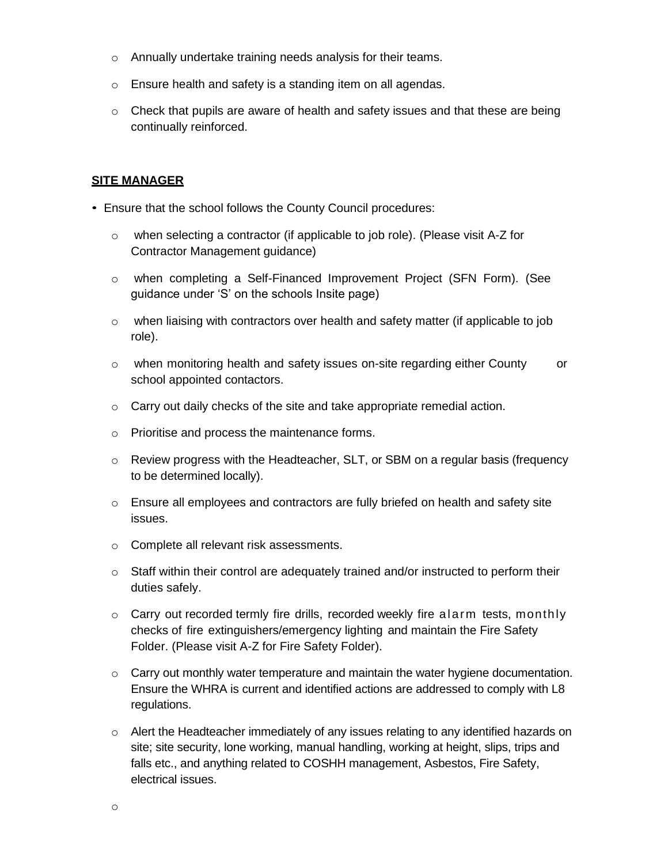- o Annually undertake training needs analysis for their teams.
- o Ensure health and safety is a standing item on all agendas.
- $\circ$  Check that pupils are aware of health and safety issues and that these are being continually reinforced.

#### **SITE MANAGER**

- Ensure that the school follows the County Council procedures:
	- $\circ$  when selecting a contractor (if applicable to job role). (Please visit A-Z for Contractor Management guidance)
	- o when completing a Self-Financed Improvement Project (SFN Form). (See guidance under 'S' on the schools Insite page)
	- $\circ$  when liaising with contractors over health and safety matter (if applicable to job role).
	- $\circ$  when monitoring health and safety issues on-site regarding either County or school appointed contactors.
	- o Carry out daily checks of the site and take appropriate remedial action.
	- o Prioritise and process the maintenance forms.
	- $\circ$  Review progress with the Headteacher, SLT, or SBM on a regular basis (frequency to be determined locally).
	- o Ensure all employees and contractors are fully briefed on health and safety site issues.
	- o Complete all relevant risk assessments.
	- $\circ$  Staff within their control are adequately trained and/or instructed to perform their duties safely.
	- $\circ$  Carry out recorded termly fire drills, recorded weekly fire a larm tests, monthly checks of fire extinguishers/emergency lighting and maintain the Fire Safety Folder. [\(Please](http://intranet.oxfordshire.gov.uk/links/intranet/cypfhealthandsafety) visit A-Z for Fire Safety Folder).
	- $\circ$  Carry out monthly water temperature and maintain the water hygiene documentation. Ensure the WHRA is current and identified actions are addressed to comply with L8 regulations.
	- o Alert the Headteacher immediately of any issues relating to any identified hazards on site; site security, lone working, manual handling, working at height, slips, trips and falls etc., and anything related to COSHH management, Asbestos, Fire Safety, electrical issues.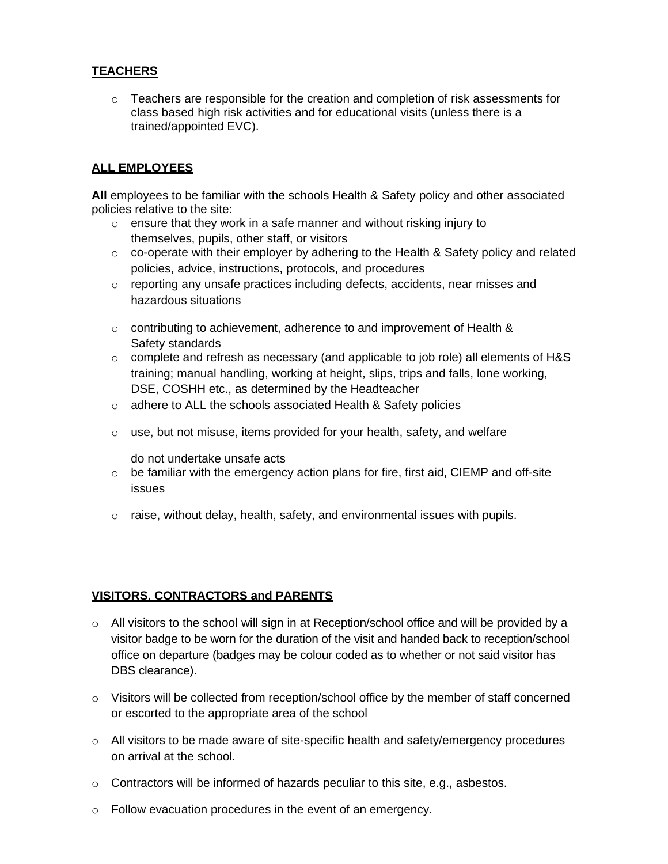#### **TEACHERS**

 $\circ$  Teachers are responsible for the creation and completion of risk assessments for class based high risk activities and for educational visits (unless there is a trained/appointed EVC).

#### **ALL EMPLOYEES**

**All** employees to be familiar with the schools Health & Safety policy and other associated policies relative to the site:

- $\circ$  ensure that they work in a safe manner and without risking injury to themselves, pupils, other staff, or visitors
- $\circ$  co-operate with their employer by adhering to the Health & Safety policy and related policies, advice, instructions, protocols, and procedures
- $\circ$  reporting any unsafe practices including defects, accidents, near misses and hazardous situations
- $\circ$  contributing to achievement, adherence to and improvement of Health & Safety standards
- $\circ$  complete and refresh as necessary (and applicable to job role) all elements of H&S training; manual handling, working at height, slips, trips and falls, lone working, DSE, COSHH etc., as determined by the Headteacher
- o adhere to ALL the schools associated Health & Safety policies
- o use, but not misuse, items provided for your health, safety, and welfare

do not undertake unsafe acts

- $\circ$  be familiar with the emergency action plans for fire, first aid, CIEMP and off-site issues
- $\circ$  raise, without delay, health, safety, and environmental issues with pupils.

#### **VISITORS, CONTRACTORS and PARENTS**

- o All visitors to the school will sign in at Reception/school office and will be provided by a visitor badge to be worn for the duration of the visit and handed back to reception/school office on departure (badges may be colour coded as to whether or not said visitor has DBS clearance).
- o Visitors will be collected from reception/school office by the member of staff concerned or escorted to the appropriate area of the school
- $\circ$  All visitors to be made aware of site-specific health and safety/emergency procedures on arrival at the school.
- $\circ$  Contractors will be informed of hazards peculiar to this site, e.g., asbestos.
- o Follow evacuation procedures in the event of an emergency.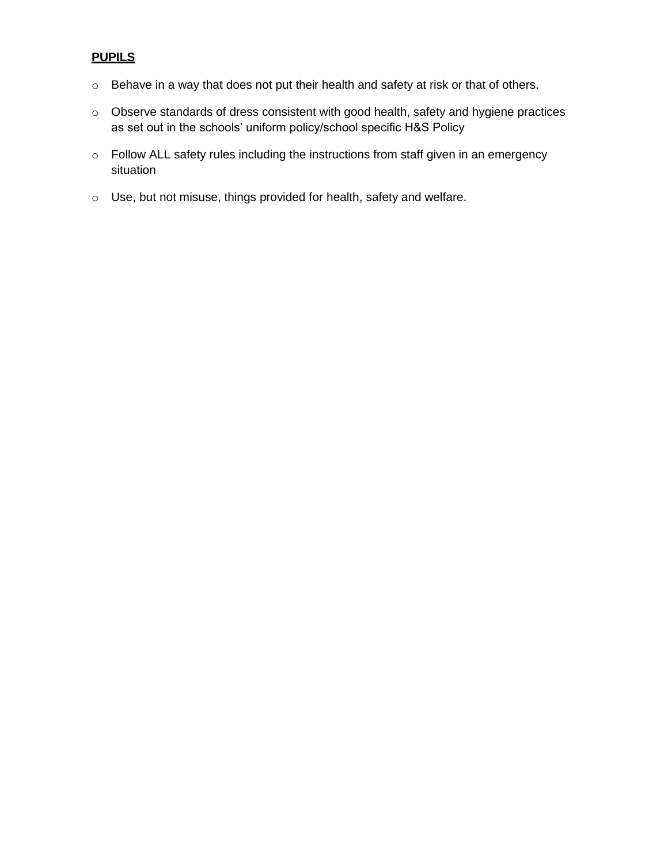# **PUPILS**

- o Behave in a way that does not put their health and safety at risk or that of others.
- o Observe standards of dress consistent with good health, safety and hygiene practices as set out in the schools' uniform policy/school specific H&S Policy
- o Follow ALL safety rules including the instructions from staff given in an emergency situation
- o Use, but not misuse, things provided for health, safety and welfare.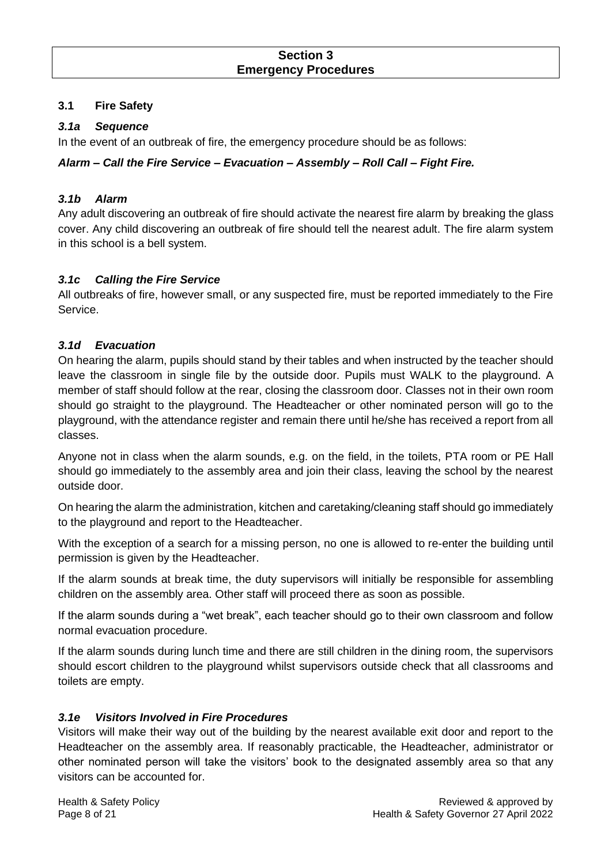#### **Section 3 Emergency Procedures**

#### **3.1 Fire Safety**

#### *3.1a Sequence*

In the event of an outbreak of fire, the emergency procedure should be as follows:

#### *Alarm – Call the Fire Service – Evacuation – Assembly – Roll Call – Fight Fire.*

#### *3.1b Alarm*

Any adult discovering an outbreak of fire should activate the nearest fire alarm by breaking the glass cover. Any child discovering an outbreak of fire should tell the nearest adult. The fire alarm system in this school is a bell system.

#### *3.1c Calling the Fire Service*

All outbreaks of fire, however small, or any suspected fire, must be reported immediately to the Fire Service.

#### *3.1d Evacuation*

On hearing the alarm, pupils should stand by their tables and when instructed by the teacher should leave the classroom in single file by the outside door. Pupils must WALK to the playground. A member of staff should follow at the rear, closing the classroom door. Classes not in their own room should go straight to the playground. The Headteacher or other nominated person will go to the playground, with the attendance register and remain there until he/she has received a report from all classes.

Anyone not in class when the alarm sounds, e.g. on the field, in the toilets, PTA room or PE Hall should go immediately to the assembly area and join their class, leaving the school by the nearest outside door.

On hearing the alarm the administration, kitchen and caretaking/cleaning staff should go immediately to the playground and report to the Headteacher.

With the exception of a search for a missing person, no one is allowed to re-enter the building until permission is given by the Headteacher.

If the alarm sounds at break time, the duty supervisors will initially be responsible for assembling children on the assembly area. Other staff will proceed there as soon as possible.

If the alarm sounds during a "wet break", each teacher should go to their own classroom and follow normal evacuation procedure.

If the alarm sounds during lunch time and there are still children in the dining room, the supervisors should escort children to the playground whilst supervisors outside check that all classrooms and toilets are empty.

#### *3.1e Visitors Involved in Fire Procedures*

Visitors will make their way out of the building by the nearest available exit door and report to the Headteacher on the assembly area. If reasonably practicable, the Headteacher, administrator or other nominated person will take the visitors' book to the designated assembly area so that any visitors can be accounted for.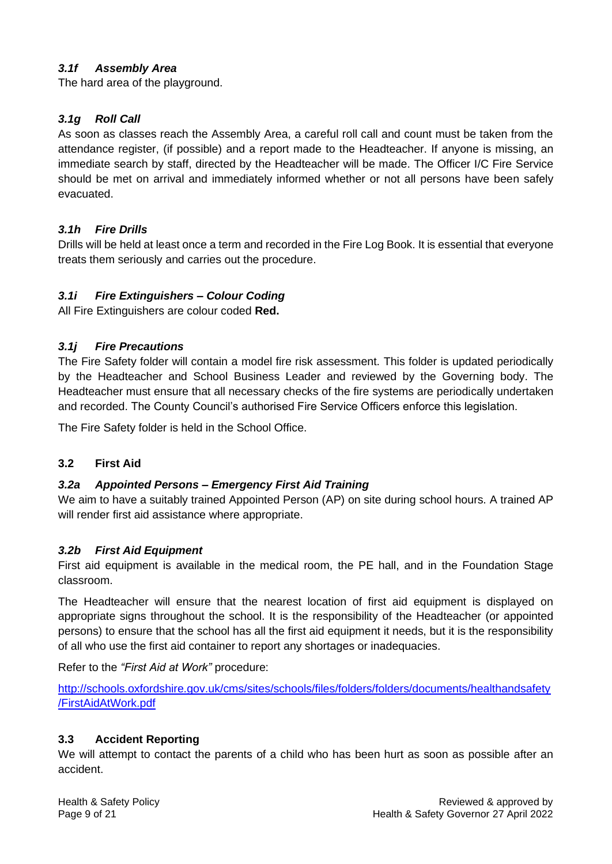## *3.1f Assembly Area*

The hard area of the playground.

#### *3.1g Roll Call*

As soon as classes reach the Assembly Area, a careful roll call and count must be taken from the attendance register, (if possible) and a report made to the Headteacher. If anyone is missing, an immediate search by staff, directed by the Headteacher will be made. The Officer I/C Fire Service should be met on arrival and immediately informed whether or not all persons have been safely evacuated.

#### *3.1h Fire Drills*

Drills will be held at least once a term and recorded in the Fire Log Book. It is essential that everyone treats them seriously and carries out the procedure.

#### *3.1i Fire Extinguishers – Colour Coding*

All Fire Extinguishers are colour coded **Red.**

#### *3.1j Fire Precautions*

The Fire Safety folder will contain a model fire risk assessment. This folder is updated periodically by the Headteacher and School Business Leader and reviewed by the Governing body. The Headteacher must ensure that all necessary checks of the fire systems are periodically undertaken and recorded. The County Council's authorised Fire Service Officers enforce this legislation.

The Fire Safety folder is held in the School Office.

#### **3.2 First Aid**

#### *3.2a Appointed Persons – Emergency First Aid Training*

We aim to have a suitably trained Appointed Person (AP) on site during school hours. A trained AP will render first aid assistance where appropriate.

#### *3.2b First Aid Equipment*

First aid equipment is available in the medical room, the PE hall, and in the Foundation Stage classroom.

The Headteacher will ensure that the nearest location of first aid equipment is displayed on appropriate signs throughout the school. It is the responsibility of the Headteacher (or appointed persons) to ensure that the school has all the first aid equipment it needs, but it is the responsibility of all who use the first aid container to report any shortages or inadequacies.

Refer to the *"First Aid at Work"* procedure:

[http://schools.oxfordshire.gov.uk/cms/sites/schools/files/folders/folders/documents/healthandsafety](http://schools.oxfordshire.gov.uk/cms/sites/schools/files/folders/folders/documents/healthandsafety/FirstAidAtWork.pdf) [/FirstAidAtWork.pdf](http://schools.oxfordshire.gov.uk/cms/sites/schools/files/folders/folders/documents/healthandsafety/FirstAidAtWork.pdf)

#### **3.3 Accident Reporting**

We will attempt to contact the parents of a child who has been hurt as soon as possible after an accident.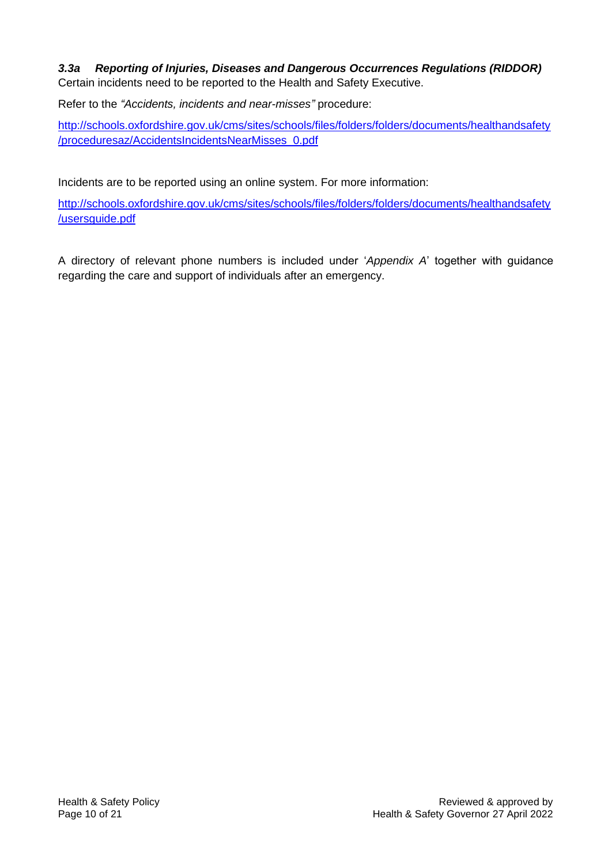## *3.3a Reporting of Injuries, Diseases and Dangerous Occurrences Regulations (RIDDOR)* Certain incidents need to be reported to the Health and Safety Executive.

Refer to the *"Accidents, incidents and near-misses"* procedure:

http://schools.oxfordshire.gov.uk/cms/sites/schools/files/folders/folders/documents/healthandsafety /proceduresaz/AccidentsIncidentsNearMisses\_0.pdf

Incidents are to be reported using an online system. For more information:

[http://schools.oxfordshire.gov.uk/cms/sites/schools/files/folders/folders/documents/healthandsafety](http://schools.oxfordshire.gov.uk/cms/sites/schools/files/folders/folders/documents/healthandsafety/usersguide.pdf) [/usersguide.pdf](http://schools.oxfordshire.gov.uk/cms/sites/schools/files/folders/folders/documents/healthandsafety/usersguide.pdf)

A directory of relevant phone numbers is included under '*Appendix A*' together with guidance regarding the care and support of individuals after an emergency.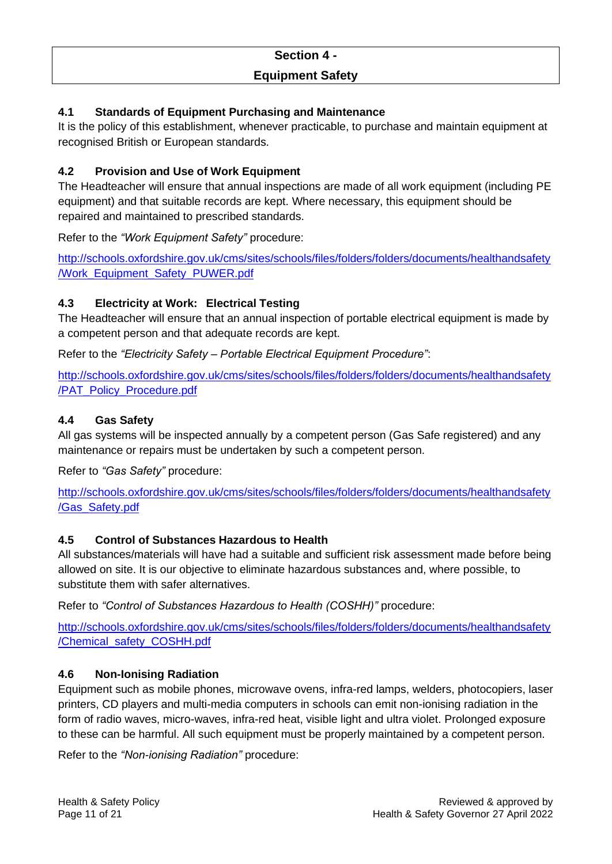# **Section 4 - Equipment Safety**

# **4.1 Standards of Equipment Purchasing and Maintenance**

It is the policy of this establishment, whenever practicable, to purchase and maintain equipment at recognised British or European standards.

# **4.2 Provision and Use of Work Equipment**

The Headteacher will ensure that annual inspections are made of all work equipment (including PE equipment) and that suitable records are kept. Where necessary, this equipment should be repaired and maintained to prescribed standards.

Refer to the *"Work Equipment Safety"* procedure:

[http://schools.oxfordshire.gov.uk/cms/sites/schools/files/folders/folders/documents/healthandsafety](http://schools.oxfordshire.gov.uk/cms/sites/schools/files/folders/folders/documents/healthandsafety/Work_Equipment_Safety_PUWER.pdf) [/Work\\_Equipment\\_Safety\\_PUWER.pdf](http://schools.oxfordshire.gov.uk/cms/sites/schools/files/folders/folders/documents/healthandsafety/Work_Equipment_Safety_PUWER.pdf)

# **4.3 Electricity at Work: Electrical Testing**

The Headteacher will ensure that an annual inspection of portable electrical equipment is made by a competent person and that adequate records are kept.

Refer to the *"Electricity Safety – Portable Electrical Equipment Procedure"*:

[http://schools.oxfordshire.gov.uk/cms/sites/schools/files/folders/folders/documents/healthandsafety](http://schools.oxfordshire.gov.uk/cms/sites/schools/files/folders/folders/documents/healthandsafety/PAT_Policy_Procedure.pdf) [/PAT\\_Policy\\_Procedure.pdf](http://schools.oxfordshire.gov.uk/cms/sites/schools/files/folders/folders/documents/healthandsafety/PAT_Policy_Procedure.pdf)

## **4.4 Gas Safety**

All gas systems will be inspected annually by a competent person (Gas Safe registered) and any maintenance or repairs must be undertaken by such a competent person.

Refer to *"Gas Safety"* procedure:

[http://schools.oxfordshire.gov.uk/cms/sites/schools/files/folders/folders/documents/healthandsafety](http://schools.oxfordshire.gov.uk/cms/sites/schools/files/folders/folders/documents/healthandsafety/Gas_Safety.pdf) [/Gas\\_Safety.pdf](http://schools.oxfordshire.gov.uk/cms/sites/schools/files/folders/folders/documents/healthandsafety/Gas_Safety.pdf)

## **4.5 Control of Substances Hazardous to Health**

All substances/materials will have had a suitable and sufficient risk assessment made before being allowed on site. It is our objective to eliminate hazardous substances and, where possible, to substitute them with safer alternatives.

Refer to *"Control of Substances Hazardous to Health (COSHH)"* procedure:

[http://schools.oxfordshire.gov.uk/cms/sites/schools/files/folders/folders/documents/healthandsafety](http://schools.oxfordshire.gov.uk/cms/sites/schools/files/folders/folders/documents/healthandsafety/Chemical_safety_COSHH.pdf) [/Chemical\\_safety\\_COSHH.pdf](http://schools.oxfordshire.gov.uk/cms/sites/schools/files/folders/folders/documents/healthandsafety/Chemical_safety_COSHH.pdf)

## **4.6 Non-Ionising Radiation**

Equipment such as mobile phones, microwave ovens, infra-red lamps, welders, photocopiers, laser printers, CD players and multi-media computers in schools can emit non-ionising radiation in the form of radio waves, micro-waves, infra-red heat, visible light and ultra violet. Prolonged exposure to these can be harmful. All such equipment must be properly maintained by a competent person.

Refer to the *"Non-ionising Radiation"* procedure: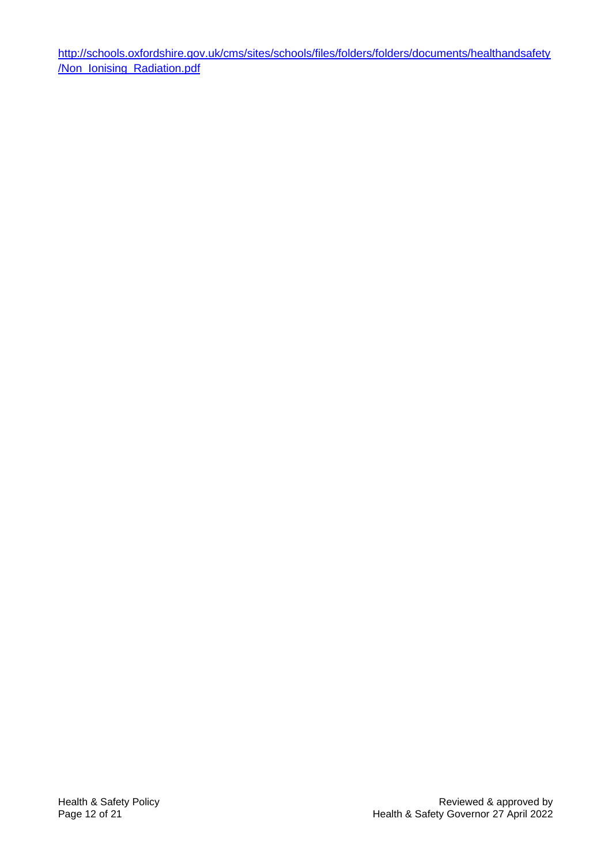[http://schools.oxfordshire.gov.uk/cms/sites/schools/files/folders/folders/documents/healthandsafety](http://schools.oxfordshire.gov.uk/cms/sites/schools/files/folders/folders/documents/healthandsafety/Non_Ionising_Radiation.pdf) [/Non\\_Ionising\\_Radiation.pdf](http://schools.oxfordshire.gov.uk/cms/sites/schools/files/folders/folders/documents/healthandsafety/Non_Ionising_Radiation.pdf)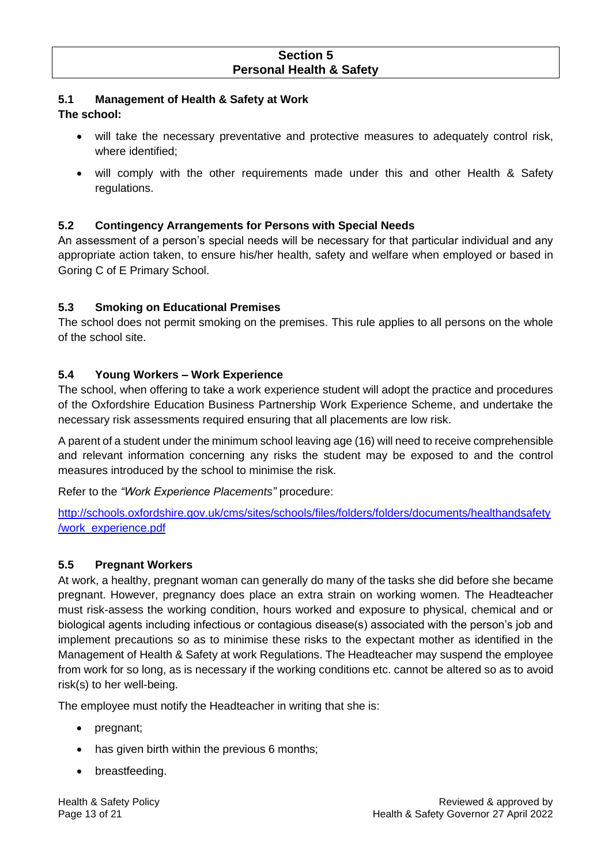# **5.1 Management of Health & Safety at Work**

#### **The school:**

- will take the necessary preventative and protective measures to adequately control risk, where identified;
- will comply with the other requirements made under this and other Health & Safety regulations.

# **5.2 Contingency Arrangements for Persons with Special Needs**

An assessment of a person's special needs will be necessary for that particular individual and any appropriate action taken, to ensure his/her health, safety and welfare when employed or based in Goring C of E Primary School.

# **5.3 Smoking on Educational Premises**

The school does not permit smoking on the premises. This rule applies to all persons on the whole of the school site.

# **5.4 Young Workers – Work Experience**

The school, when offering to take a work experience student will adopt the practice and procedures of the Oxfordshire Education Business Partnership Work Experience Scheme, and undertake the necessary risk assessments required ensuring that all placements are low risk.

A parent of a student under the minimum school leaving age (16) will need to receive comprehensible and relevant information concerning any risks the student may be exposed to and the control measures introduced by the school to minimise the risk.

Refer to the *"Work Experience Placements"* procedure:

[http://schools.oxfordshire.gov.uk/cms/sites/schools/files/folders/folders/documents/healthandsafety](http://schools.oxfordshire.gov.uk/cms/sites/schools/files/folders/folders/documents/healthandsafety/work_experience.pdf) [/work\\_experience.pdf](http://schools.oxfordshire.gov.uk/cms/sites/schools/files/folders/folders/documents/healthandsafety/work_experience.pdf)

## **5.5 Pregnant Workers**

At work, a healthy, pregnant woman can generally do many of the tasks she did before she became pregnant. However, pregnancy does place an extra strain on working women. The Headteacher must risk-assess the working condition, hours worked and exposure to physical, chemical and or biological agents including infectious or contagious disease(s) associated with the person's job and implement precautions so as to minimise these risks to the expectant mother as identified in the Management of Health & Safety at work Regulations. The Headteacher may suspend the employee from work for so long, as is necessary if the working conditions etc. cannot be altered so as to avoid risk(s) to her well-being.

The employee must notify the Headteacher in writing that she is:

- pregnant;
- has given birth within the previous 6 months;
- breastfeeding.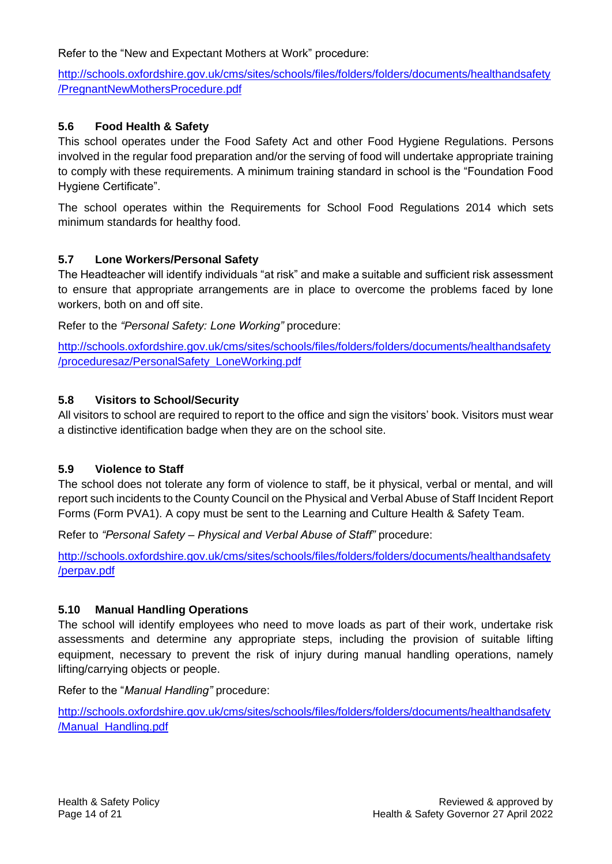Refer to the "New and Expectant Mothers at Work" procedure:

[http://schools.oxfordshire.gov.uk/cms/sites/schools/files/folders/folders/documents/healthandsafety](http://schools.oxfordshire.gov.uk/cms/sites/schools/files/folders/folders/documents/healthandsafety/PregnantNewMothersProcedure.pdf) [/PregnantNewMothersProcedure.pdf](http://schools.oxfordshire.gov.uk/cms/sites/schools/files/folders/folders/documents/healthandsafety/PregnantNewMothersProcedure.pdf)

# **5.6 Food Health & Safety**

This school operates under the Food Safety Act and other Food Hygiene Regulations. Persons involved in the regular food preparation and/or the serving of food will undertake appropriate training to comply with these requirements. A minimum training standard in school is the "Foundation Food Hygiene Certificate".

The school operates within the Requirements for School Food Regulations 2014 which sets minimum standards for healthy food.

## **5.7 Lone Workers/Personal Safety**

The Headteacher will identify individuals "at risk" and make a suitable and sufficient risk assessment to ensure that appropriate arrangements are in place to overcome the problems faced by lone workers, both on and off site.

Refer to the *"Personal Safety: Lone Working"* procedure:

[http://schools.oxfordshire.gov.uk/cms/sites/schools/files/folders/folders/documents/healthandsafety](http://schools.oxfordshire.gov.uk/cms/sites/schools/files/folders/folders/documents/healthandsafety/proceduresaz/PersonalSafety_LoneWorking.pdf) [/proceduresaz/PersonalSafety\\_LoneWorking.pdf](http://schools.oxfordshire.gov.uk/cms/sites/schools/files/folders/folders/documents/healthandsafety/proceduresaz/PersonalSafety_LoneWorking.pdf)

## **5.8 Visitors to School/Security**

All visitors to school are required to report to the office and sign the visitors' book. Visitors must wear a distinctive identification badge when they are on the school site.

## **5.9 Violence to Staff**

The school does not tolerate any form of violence to staff, be it physical, verbal or mental, and will report such incidents to the County Council on the Physical and Verbal Abuse of Staff Incident Report Forms (Form PVA1). A copy must be sent to the Learning and Culture Health & Safety Team.

Refer to *"Personal Safety – Physical and Verbal Abuse of Staff"* procedure:

[http://schools.oxfordshire.gov.uk/cms/sites/schools/files/folders/folders/documents/healthandsafety](http://schools.oxfordshire.gov.uk/cms/sites/schools/files/folders/folders/documents/healthandsafety/perpav.pdf) [/perpav.pdf](http://schools.oxfordshire.gov.uk/cms/sites/schools/files/folders/folders/documents/healthandsafety/perpav.pdf)

## **5.10 Manual Handling Operations**

The school will identify employees who need to move loads as part of their work, undertake risk assessments and determine any appropriate steps, including the provision of suitable lifting equipment, necessary to prevent the risk of injury during manual handling operations, namely lifting/carrying objects or people.

Refer to the "*Manual Handling"* procedure:

[http://schools.oxfordshire.gov.uk/cms/sites/schools/files/folders/folders/documents/healthandsafety](http://schools.oxfordshire.gov.uk/cms/sites/schools/files/folders/folders/documents/healthandsafety/Manual_Handling.pdf) [/Manual\\_Handling.pdf](http://schools.oxfordshire.gov.uk/cms/sites/schools/files/folders/folders/documents/healthandsafety/Manual_Handling.pdf)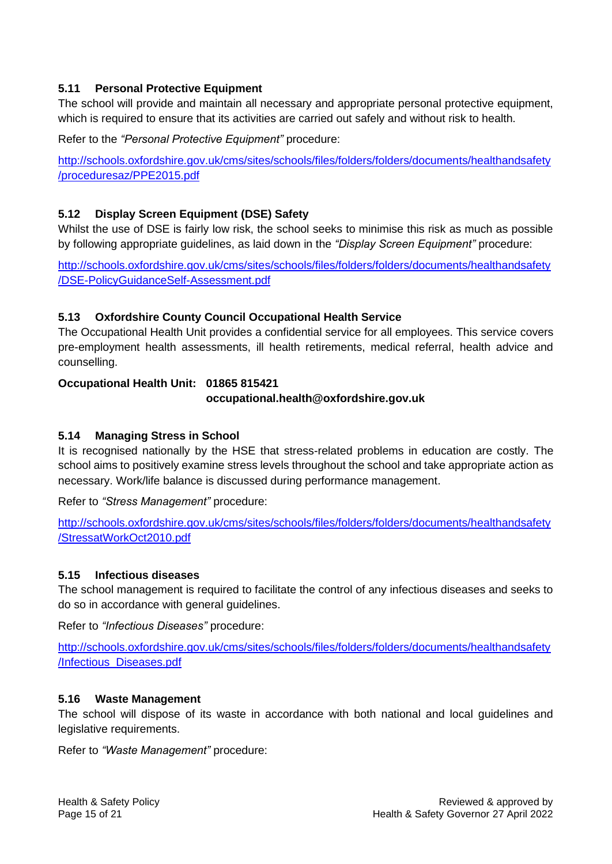## **5.11 Personal Protective Equipment**

The school will provide and maintain all necessary and appropriate personal protective equipment, which is required to ensure that its activities are carried out safely and without risk to health.

Refer to the *"Personal Protective Equipment"* procedure:

[http://schools.oxfordshire.gov.uk/cms/sites/schools/files/folders/folders/documents/healthandsafety](http://schools.oxfordshire.gov.uk/cms/sites/schools/files/folders/folders/documents/healthandsafety/proceduresaz/PPE2015.pdf) [/proceduresaz/PPE2015.pdf](http://schools.oxfordshire.gov.uk/cms/sites/schools/files/folders/folders/documents/healthandsafety/proceduresaz/PPE2015.pdf)

# **5.12 Display Screen Equipment (DSE) Safety**

Whilst the use of DSE is fairly low risk, the school seeks to minimise this risk as much as possible by following appropriate guidelines, as laid down in the *"Display Screen Equipment"* procedure:

[http://schools.oxfordshire.gov.uk/cms/sites/schools/files/folders/folders/documents/healthandsafety](http://schools.oxfordshire.gov.uk/cms/sites/schools/files/folders/folders/documents/healthandsafety/DSE-PolicyGuidanceSelf-Assessment.pdf) [/DSE-PolicyGuidanceSelf-Assessment.pdf](http://schools.oxfordshire.gov.uk/cms/sites/schools/files/folders/folders/documents/healthandsafety/DSE-PolicyGuidanceSelf-Assessment.pdf)

# **5.13 Oxfordshire County Council Occupational Health Service**

The Occupational Health Unit provides a confidential service for all employees. This service covers pre-employment health assessments, ill health retirements, medical referral, health advice and counselling.

## **Occupational Health Unit: 01865 815421**

**occupational.health@oxfordshire.gov.uk**

# **5.14 Managing Stress in School**

It is recognised nationally by the HSE that stress-related problems in education are costly. The school aims to positively examine stress levels throughout the school and take appropriate action as necessary. Work/life balance is discussed during performance management.

Refer to *"Stress Management"* procedure:

[http://schools.oxfordshire.gov.uk/cms/sites/schools/files/folders/folders/documents/healthandsafety](http://schools.oxfordshire.gov.uk/cms/sites/schools/files/folders/folders/documents/healthandsafety/StressatWorkOct2010.pdf) [/StressatWorkOct2010.pdf](http://schools.oxfordshire.gov.uk/cms/sites/schools/files/folders/folders/documents/healthandsafety/StressatWorkOct2010.pdf)

## **5.15 Infectious diseases**

The school management is required to facilitate the control of any infectious diseases and seeks to do so in accordance with general guidelines.

Refer to *"Infectious Diseases"* procedure:

[http://schools.oxfordshire.gov.uk/cms/sites/schools/files/folders/folders/documents/healthandsafety](http://schools.oxfordshire.gov.uk/cms/sites/schools/files/folders/folders/documents/healthandsafety/Infectious_Diseases.pdf) [/Infectious\\_Diseases.pdf](http://schools.oxfordshire.gov.uk/cms/sites/schools/files/folders/folders/documents/healthandsafety/Infectious_Diseases.pdf)

## **5.16 Waste Management**

The school will dispose of its waste in accordance with both national and local guidelines and legislative requirements.

Refer to *"Waste Management"* procedure: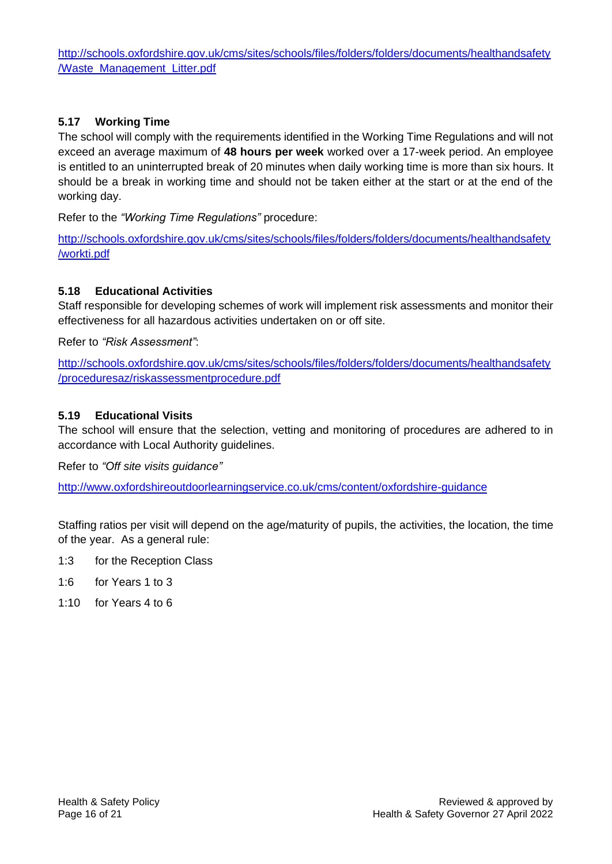[http://schools.oxfordshire.gov.uk/cms/sites/schools/files/folders/folders/documents/healthandsafety](http://schools.oxfordshire.gov.uk/cms/sites/schools/files/folders/folders/documents/healthandsafety/Waste_Management_Litter.pdf) [/Waste\\_Management\\_Litter.pdf](http://schools.oxfordshire.gov.uk/cms/sites/schools/files/folders/folders/documents/healthandsafety/Waste_Management_Litter.pdf)

# **5.17 Working Time**

The school will comply with the requirements identified in the Working Time Regulations and will not exceed an average maximum of **48 hours per week** worked over a 17-week period. An employee is entitled to an uninterrupted break of 20 minutes when daily working time is more than six hours. It should be a break in working time and should not be taken either at the start or at the end of the working day.

Refer to the *"Working Time Regulations"* procedure:

[http://schools.oxfordshire.gov.uk/cms/sites/schools/files/folders/folders/documents/healthandsafety](http://schools.oxfordshire.gov.uk/cms/sites/schools/files/folders/folders/documents/healthandsafety/workti.pdf) [/workti.pdf](http://schools.oxfordshire.gov.uk/cms/sites/schools/files/folders/folders/documents/healthandsafety/workti.pdf)

## **5.18 Educational Activities**

Staff responsible for developing schemes of work will implement risk assessments and monitor their effectiveness for all hazardous activities undertaken on or off site.

Refer to *"Risk Assessment"*:

[http://schools.oxfordshire.gov.uk/cms/sites/schools/files/folders/folders/documents/healthandsafety](http://schools.oxfordshire.gov.uk/cms/sites/schools/files/folders/folders/documents/healthandsafety/proceduresaz/riskassessmentprocedure.pdf) [/proceduresaz/riskassessmentprocedure.pdf](http://schools.oxfordshire.gov.uk/cms/sites/schools/files/folders/folders/documents/healthandsafety/proceduresaz/riskassessmentprocedure.pdf)

## **5.19 Educational Visits**

The school will ensure that the selection, vetting and monitoring of procedures are adhered to in accordance with Local Authority guidelines.

Refer to *"Off site visits guidance"*

<http://www.oxfordshireoutdoorlearningservice.co.uk/cms/content/oxfordshire-guidance>

Staffing ratios per visit will depend on the age/maturity of pupils, the activities, the location, the time of the year. As a general rule:

- 1:3 for the Reception Class
- 1:6 for Years 1 to 3
- 1:10 for Years 4 to 6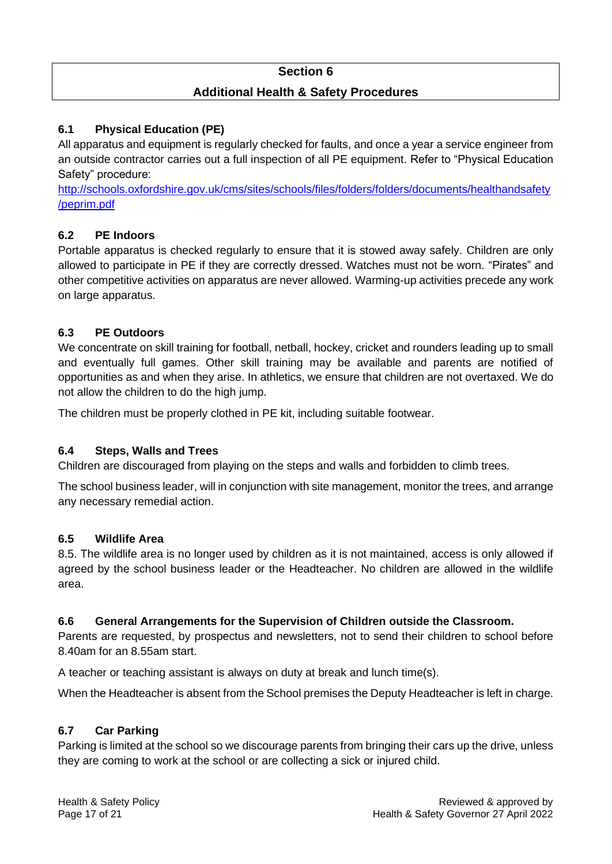# **Section 6**

# **Additional Health & Safety Procedures**

# **6.1 Physical Education (PE)**

All apparatus and equipment is regularly checked for faults, and once a year a service engineer from an outside contractor carries out a full inspection of all PE equipment. Refer to "Physical Education Safety" procedure:

[http://schools.oxfordshire.gov.uk/cms/sites/schools/files/folders/folders/documents/healthandsafety](http://schools.oxfordshire.gov.uk/cms/sites/schools/files/folders/folders/documents/healthandsafety/peprim.pdf) [/peprim.pdf](http://schools.oxfordshire.gov.uk/cms/sites/schools/files/folders/folders/documents/healthandsafety/peprim.pdf)

# **6.2 PE Indoors**

Portable apparatus is checked regularly to ensure that it is stowed away safely. Children are only allowed to participate in PE if they are correctly dressed. Watches must not be worn. "Pirates" and other competitive activities on apparatus are never allowed. Warming-up activities precede any work on large apparatus.

## **6.3 PE Outdoors**

We concentrate on skill training for football, netball, hockey, cricket and rounders leading up to small and eventually full games. Other skill training may be available and parents are notified of opportunities as and when they arise. In athletics, we ensure that children are not overtaxed. We do not allow the children to do the high jump.

The children must be properly clothed in PE kit, including suitable footwear.

## **6.4 Steps, Walls and Trees**

Children are discouraged from playing on the steps and walls and forbidden to climb trees.

The school business leader, will in conjunction with site management, monitor the trees, and arrange any necessary remedial action.

#### **6.5 Wildlife Area**

8.5. The wildlife area is no longer used by children as it is not maintained, access is only allowed if agreed by the school business leader or the Headteacher. No children are allowed in the wildlife area.

#### **6.6 General Arrangements for the Supervision of Children outside the Classroom.**

Parents are requested, by prospectus and newsletters, not to send their children to school before 8.40am for an 8.55am start.

A teacher or teaching assistant is always on duty at break and lunch time(s).

When the Headteacher is absent from the School premises the Deputy Headteacher is left in charge.

## **6.7 Car Parking**

Parking is limited at the school so we discourage parents from bringing their cars up the drive, unless they are coming to work at the school or are collecting a sick or injured child.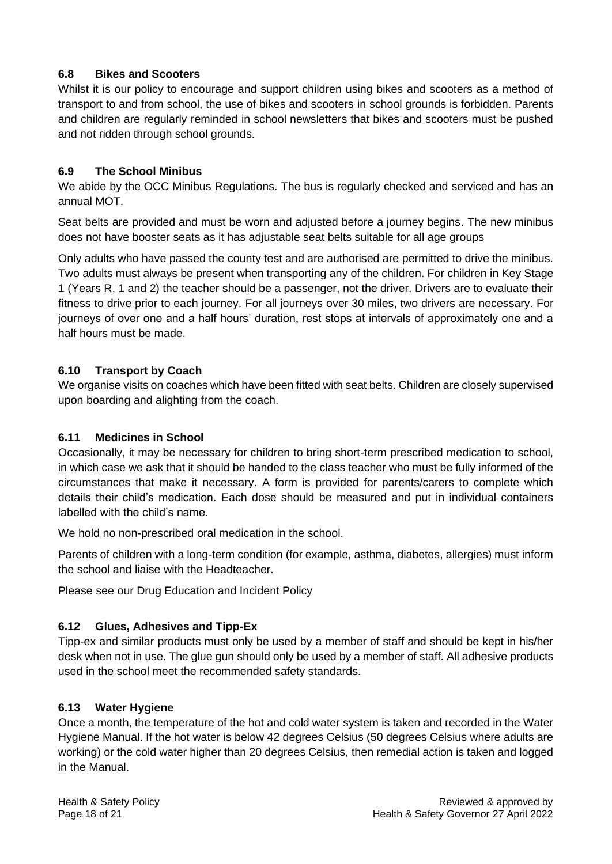# **6.8 Bikes and Scooters**

Whilst it is our policy to encourage and support children using bikes and scooters as a method of transport to and from school, the use of bikes and scooters in school grounds is forbidden. Parents and children are regularly reminded in school newsletters that bikes and scooters must be pushed and not ridden through school grounds.

# **6.9 The School Minibus**

We abide by the OCC Minibus Regulations. The bus is regularly checked and serviced and has an annual MOT.

Seat belts are provided and must be worn and adjusted before a journey begins. The new minibus does not have booster seats as it has adjustable seat belts suitable for all age groups

Only adults who have passed the county test and are authorised are permitted to drive the minibus. Two adults must always be present when transporting any of the children. For children in Key Stage 1 (Years R, 1 and 2) the teacher should be a passenger, not the driver. Drivers are to evaluate their fitness to drive prior to each journey. For all journeys over 30 miles, two drivers are necessary. For journeys of over one and a half hours' duration, rest stops at intervals of approximately one and a half hours must be made.

## **6.10 Transport by Coach**

We organise visits on coaches which have been fitted with seat belts. Children are closely supervised upon boarding and alighting from the coach.

## **6.11 Medicines in School**

Occasionally, it may be necessary for children to bring short-term prescribed medication to school, in which case we ask that it should be handed to the class teacher who must be fully informed of the circumstances that make it necessary. A form is provided for parents/carers to complete which details their child's medication. Each dose should be measured and put in individual containers labelled with the child's name.

We hold no non-prescribed oral medication in the school.

Parents of children with a long-term condition (for example, asthma, diabetes, allergies) must inform the school and liaise with the Headteacher.

Please see our Drug Education and Incident Policy

## **6.12 Glues, Adhesives and Tipp-Ex**

Tipp-ex and similar products must only be used by a member of staff and should be kept in his/her desk when not in use. The glue gun should only be used by a member of staff. All adhesive products used in the school meet the recommended safety standards.

## **6.13 Water Hygiene**

Once a month, the temperature of the hot and cold water system is taken and recorded in the Water Hygiene Manual. If the hot water is below 42 degrees Celsius (50 degrees Celsius where adults are working) or the cold water higher than 20 degrees Celsius, then remedial action is taken and logged in the Manual.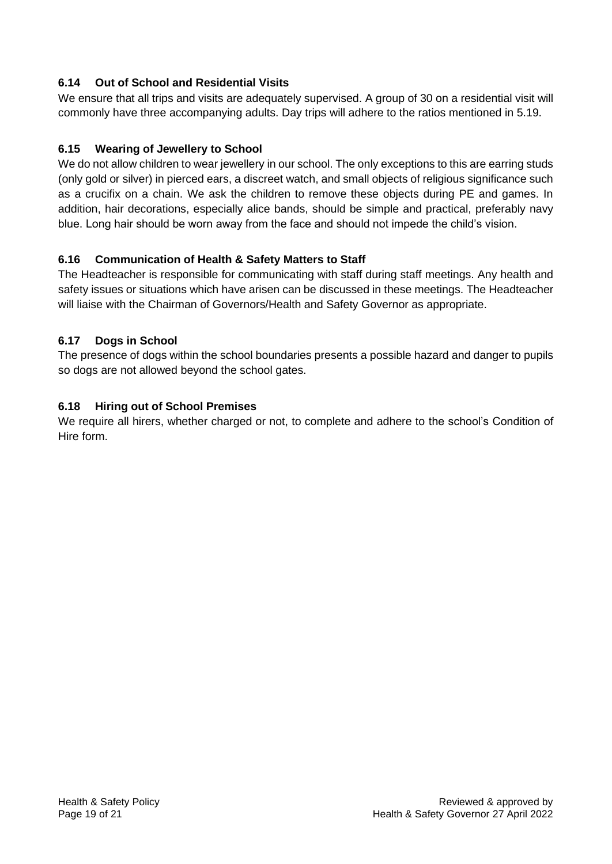# **6.14 Out of School and Residential Visits**

We ensure that all trips and visits are adequately supervised. A group of 30 on a residential visit will commonly have three accompanying adults. Day trips will adhere to the ratios mentioned in 5.19.

# **6.15 Wearing of Jewellery to School**

We do not allow children to wear jewellery in our school. The only exceptions to this are earring studs (only gold or silver) in pierced ears, a discreet watch, and small objects of religious significance such as a crucifix on a chain. We ask the children to remove these objects during PE and games. In addition, hair decorations, especially alice bands, should be simple and practical, preferably navy blue. Long hair should be worn away from the face and should not impede the child's vision.

## **6.16 Communication of Health & Safety Matters to Staff**

The Headteacher is responsible for communicating with staff during staff meetings. Any health and safety issues or situations which have arisen can be discussed in these meetings. The Headteacher will liaise with the Chairman of Governors/Health and Safety Governor as appropriate.

# **6.17 Dogs in School**

The presence of dogs within the school boundaries presents a possible hazard and danger to pupils so dogs are not allowed beyond the school gates.

# **6.18 Hiring out of School Premises**

We require all hirers, whether charged or not, to complete and adhere to the school's Condition of Hire form.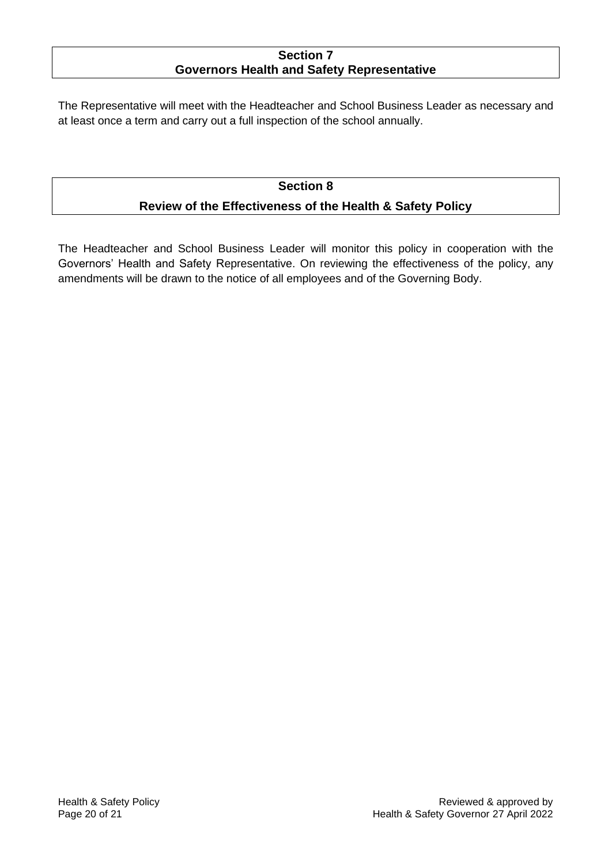# **Section 7 Governors Health and Safety Representative**

The Representative will meet with the Headteacher and School Business Leader as necessary and at least once a term and carry out a full inspection of the school annually.

# **Section 8 Review of the Effectiveness of the Health & Safety Policy**

The Headteacher and School Business Leader will monitor this policy in cooperation with the Governors' Health and Safety Representative. On reviewing the effectiveness of the policy, any amendments will be drawn to the notice of all employees and of the Governing Body.